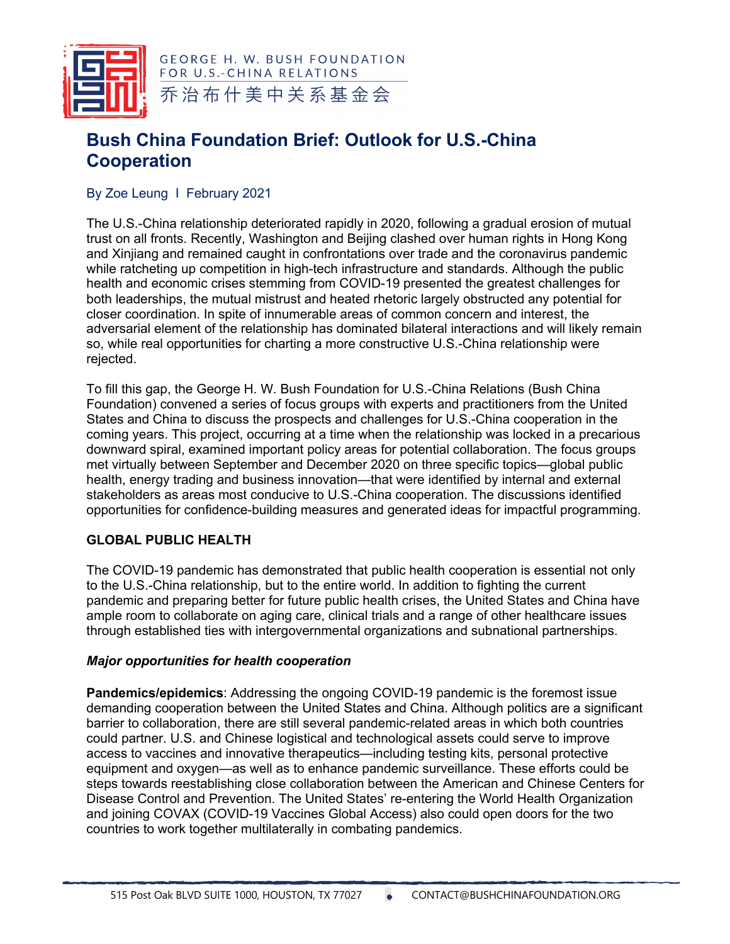

**GEORGE H. W. BUSH FOUNDATION** FOR U.S.-CHINA RELATIONS 乔治布什美中关系基金会

# **Bush China Foundation Brief: Outlook for U.S.-China Cooperation**

By Zoe Leung I February 2021

The U.S.-China relationship deteriorated rapidly in 2020, following a gradual erosion of mutual trust on all fronts. Recently, Washington and Beijing clashed over human rights in Hong Kong and Xinjiang and remained caught in confrontations over trade and the coronavirus pandemic while ratcheting up competition in high-tech infrastructure and standards. Although the public health and economic crises stemming from COVID-19 presented the greatest challenges for both leaderships, the mutual mistrust and heated rhetoric largely obstructed any potential for closer coordination. In spite of innumerable areas of common concern and interest, the adversarial element of the relationship has dominated bilateral interactions and will likely remain so, while real opportunities for charting a more constructive U.S.-China relationship were rejected.

To fill this gap, the George H. W. Bush Foundation for U.S.-China Relations (Bush China Foundation) convened a series of focus groups with experts and practitioners from the United States and China to discuss the prospects and challenges for U.S.-China cooperation in the coming years. This project, occurring at a time when the relationship was locked in a precarious downward spiral, examined important policy areas for potential collaboration. The focus groups met virtually between September and December 2020 on three specific topics—global public health, energy trading and business innovation—that were identified by internal and external stakeholders as areas most conducive to U.S.-China cooperation. The discussions identified opportunities for confidence-building measures and generated ideas for impactful programming.

## **GLOBAL PUBLIC HEALTH**

The COVID-19 pandemic has demonstrated that public health cooperation is essential not only to the U.S.-China relationship, but to the entire world. In addition to fighting the current pandemic and preparing better for future public health crises, the United States and China have ample room to collaborate on aging care, clinical trials and a range of other healthcare issues through established ties with intergovernmental organizations and subnational partnerships.

## *Major opportunities for health cooperation*

**Pandemics/epidemics**: Addressing the ongoing COVID-19 pandemic is the foremost issue demanding cooperation between the United States and China. Although politics are a significant barrier to collaboration, there are still several pandemic-related areas in which both countries could partner. U.S. and Chinese logistical and technological assets could serve to improve access to vaccines and innovative therapeutics—including testing kits, personal protective equipment and oxygen—as well as to enhance pandemic surveillance. These efforts could be steps towards reestablishing close collaboration between the American and Chinese Centers for Disease Control and Prevention. The United States' re-entering the World Health Organization and joining COVAX (COVID-19 Vaccines Global Access) also could open doors for the two countries to work together multilaterally in combating pandemics.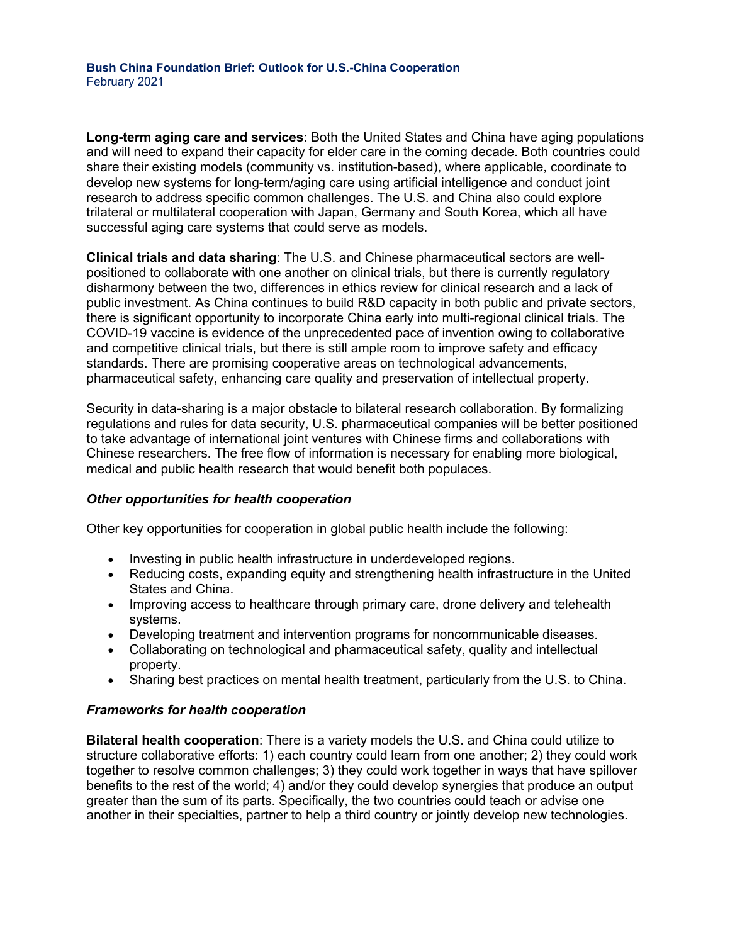**Long-term aging care and services**: Both the United States and China have aging populations and will need to expand their capacity for elder care in the coming decade. Both countries could share their existing models (community vs. institution-based), where applicable, coordinate to develop new systems for long-term/aging care using artificial intelligence and conduct joint research to address specific common challenges. The U.S. and China also could explore trilateral or multilateral cooperation with Japan, Germany and South Korea, which all have successful aging care systems that could serve as models.

**Clinical trials and data sharing**: The U.S. and Chinese pharmaceutical sectors are wellpositioned to collaborate with one another on clinical trials, but there is currently regulatory disharmony between the two, differences in ethics review for clinical research and a lack of public investment. As China continues to build R&D capacity in both public and private sectors, there is significant opportunity to incorporate China early into multi-regional clinical trials. The COVID-19 vaccine is evidence of the unprecedented pace of invention owing to collaborative and competitive clinical trials, but there is still ample room to improve safety and efficacy standards. There are promising cooperative areas on technological advancements, pharmaceutical safety, enhancing care quality and preservation of intellectual property.

Security in data-sharing is a major obstacle to bilateral research collaboration. By formalizing regulations and rules for data security, U.S. pharmaceutical companies will be better positioned to take advantage of international joint ventures with Chinese firms and collaborations with Chinese researchers. The free flow of information is necessary for enabling more biological, medical and public health research that would benefit both populaces.

## *Other opportunities for health cooperation*

Other key opportunities for cooperation in global public health include the following:

- Investing in public health infrastructure in underdeveloped regions.
- Reducing costs, expanding equity and strengthening health infrastructure in the United States and China.
- Improving access to healthcare through primary care, drone delivery and telehealth systems.
- Developing treatment and intervention programs for noncommunicable diseases.
- Collaborating on technological and pharmaceutical safety, quality and intellectual property.
- Sharing best practices on mental health treatment, particularly from the U.S. to China.

#### *Frameworks for health cooperation*

**Bilateral health cooperation**: There is a variety models the U.S. and China could utilize to structure collaborative efforts: 1) each country could learn from one another; 2) they could work together to resolve common challenges; 3) they could work together in ways that have spillover benefits to the rest of the world; 4) and/or they could develop synergies that produce an output greater than the sum of its parts. Specifically, the two countries could teach or advise one another in their specialties, partner to help a third country or jointly develop new technologies.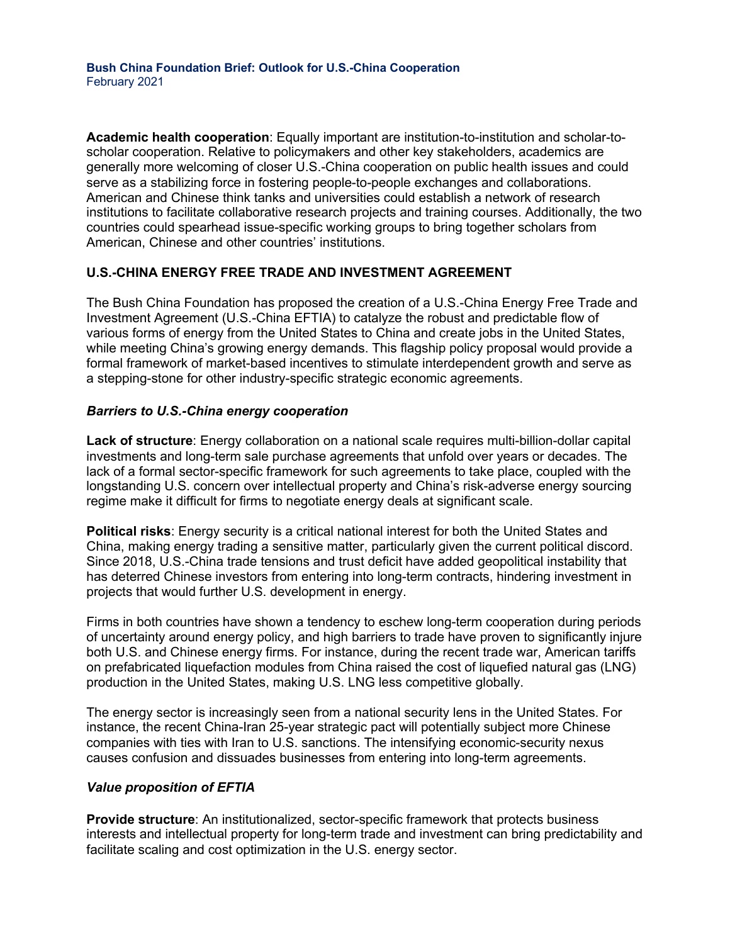**Academic health cooperation**: Equally important are institution-to-institution and scholar-toscholar cooperation. Relative to policymakers and other key stakeholders, academics are generally more welcoming of closer U.S.-China cooperation on public health issues and could serve as a stabilizing force in fostering people-to-people exchanges and collaborations. American and Chinese think tanks and universities could establish a network of research institutions to facilitate collaborative research projects and training courses. Additionally, the two countries could spearhead issue-specific working groups to bring together scholars from American, Chinese and other countries' institutions.

## **U.S.-CHINA ENERGY FREE TRADE AND INVESTMENT AGREEMENT**

The Bush China Foundation has proposed the creation of a U.S.-China Energy Free Trade and Investment Agreement (U.S.-China EFTIA) to catalyze the robust and predictable flow of various forms of energy from the United States to China and create jobs in the United States, while meeting China's growing energy demands. This flagship policy proposal would provide a formal framework of market-based incentives to stimulate interdependent growth and serve as a stepping-stone for other industry-specific strategic economic agreements.

## *Barriers to U.S.-China energy cooperation*

**Lack of structure**: Energy collaboration on a national scale requires multi-billion-dollar capital investments and long-term sale purchase agreements that unfold over years or decades. The lack of a formal sector-specific framework for such agreements to take place, coupled with the longstanding U.S. concern over intellectual property and China's risk-adverse energy sourcing regime make it difficult for firms to negotiate energy deals at significant scale.

**Political risks**: Energy security is a critical national interest for both the United States and China, making energy trading a sensitive matter, particularly given the current political discord. Since 2018, U.S.-China trade tensions and trust deficit have added geopolitical instability that has deterred Chinese investors from entering into long-term contracts, hindering investment in projects that would further U.S. development in energy.

Firms in both countries have shown a tendency to eschew long-term cooperation during periods of uncertainty around energy policy, and high barriers to trade have proven to significantly injure both U.S. and Chinese energy firms. For instance, during the recent trade war, American tariffs on prefabricated liquefaction modules from China raised the cost of liquefied natural gas (LNG) production in the United States, making U.S. LNG less competitive globally.

The energy sector is increasingly seen from a national security lens in the United States. For instance, the recent China-Iran 25-year strategic pact will potentially subject more Chinese companies with ties with Iran to U.S. sanctions. The intensifying economic-security nexus causes confusion and dissuades businesses from entering into long-term agreements.

## *Value proposition of EFTIA*

**Provide structure**: An institutionalized, sector-specific framework that protects business interests and intellectual property for long-term trade and investment can bring predictability and facilitate scaling and cost optimization in the U.S. energy sector.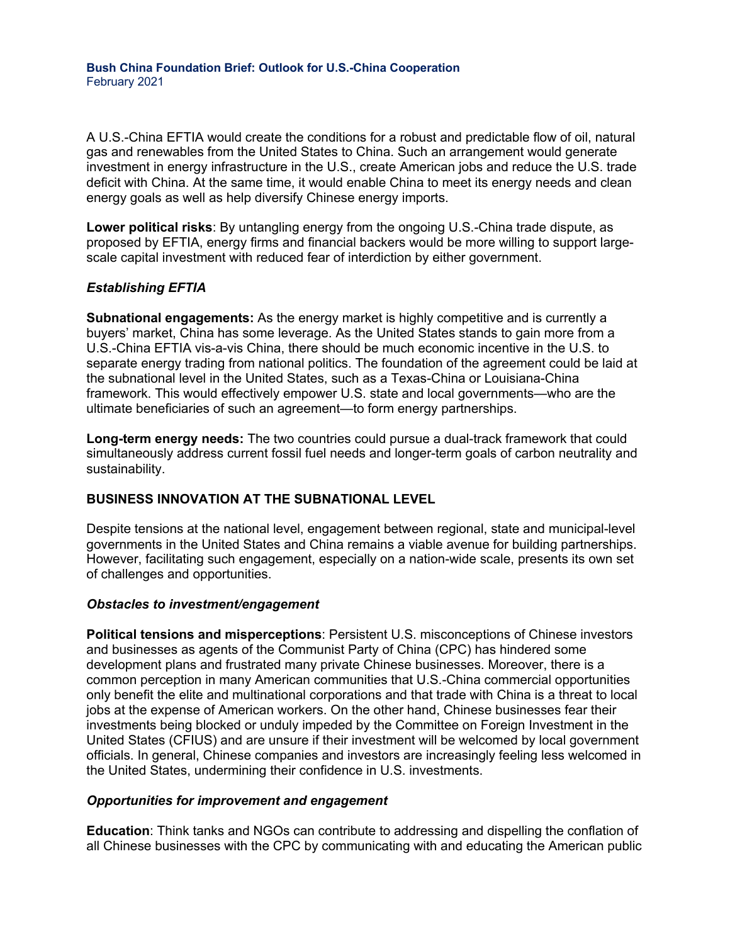**Bush China Foundation Brief: Outlook for U.S.-China Cooperation** February 2021

A U.S.-China EFTIA would create the conditions for a robust and predictable flow of oil, natural gas and renewables from the United States to China. Such an arrangement would generate investment in energy infrastructure in the U.S., create American jobs and reduce the U.S. trade deficit with China. At the same time, it would enable China to meet its energy needs and clean energy goals as well as help diversify Chinese energy imports.

**Lower political risks**: By untangling energy from the ongoing U.S.-China trade dispute, as proposed by EFTIA, energy firms and financial backers would be more willing to support largescale capital investment with reduced fear of interdiction by either government.

#### *Establishing EFTIA*

**Subnational engagements:** As the energy market is highly competitive and is currently a buyers' market, China has some leverage. As the United States stands to gain more from a U.S.-China EFTIA vis-a-vis China, there should be much economic incentive in the U.S. to separate energy trading from national politics. The foundation of the agreement could be laid at the subnational level in the United States, such as a Texas-China or Louisiana-China framework. This would effectively empower U.S. state and local governments—who are the ultimate beneficiaries of such an agreement—to form energy partnerships.

**Long-term energy needs:** The two countries could pursue a dual-track framework that could simultaneously address current fossil fuel needs and longer-term goals of carbon neutrality and sustainability.

## **BUSINESS INNOVATION AT THE SUBNATIONAL LEVEL**

Despite tensions at the national level, engagement between regional, state and municipal-level governments in the United States and China remains a viable avenue for building partnerships. However, facilitating such engagement, especially on a nation-wide scale, presents its own set of challenges and opportunities.

#### *Obstacles to investment/engagement*

**Political tensions and misperceptions**: Persistent U.S. misconceptions of Chinese investors and businesses as agents of the Communist Party of China (CPC) has hindered some development plans and frustrated many private Chinese businesses. Moreover, there is a common perception in many American communities that U.S.-China commercial opportunities only benefit the elite and multinational corporations and that trade with China is a threat to local jobs at the expense of American workers. On the other hand, Chinese businesses fear their investments being blocked or unduly impeded by the Committee on Foreign Investment in the United States (CFIUS) and are unsure if their investment will be welcomed by local government officials. In general, Chinese companies and investors are increasingly feeling less welcomed in the United States, undermining their confidence in U.S. investments.

#### *Opportunities for improvement and engagement*

**Education**: Think tanks and NGOs can contribute to addressing and dispelling the conflation of all Chinese businesses with the CPC by communicating with and educating the American public